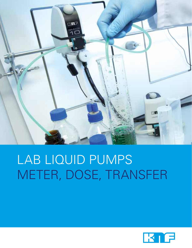

# LAB LIQUID PUMPS METER, DOSE, TRANSfER

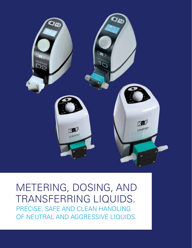

### meteRiNg, DOSING, ANd TRANSFERRING LIQUIDS. PRECISE, SAFE AND CLEAN HANDLING OF NEUTRAL AND AGGRESSIVE LIQUIDS.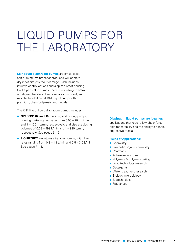# Liquid Pumps for THE LABORATORY

**KNF liquid diaphragm pumps** are small, quiet, self-priming, maintenance-free, and will operate dry indefinitely without damage. Each includes intuitive control options and a splash-proof housing. Unlike peristaltic pumps, there is no tubing to break or fatigue, therefore flow rates are consistent, and reliable. In addition, all KNF liquid pumps offer premium, chemically-resistant models.

The KNF line of liquid diaphragm pumps includes:

- **SIMDOS<sup>®</sup> 02 and 10** metering and dosing pumps, offering metering flow rates from 0.03 – 20 mL/min and 1 – 100 mL/min, respectively, and discrete dosing volumes of 0.03 – 999 L/min and 1 – 999 L/min, respectively. See pages 3 – 6.
- LIQUIPORT<sup>®</sup> easy-to-use transfer pumps, with flow rates ranging from  $0.2 - 1.3$  L/min and  $0.5 - 3.0$  L/min. See pages 7 – 8.

#### **Diaphragm liquid pumps are ideal for:**

applications that require low shear force, high repeatability and the ability to handle aggressive media.

#### **Fields of Applications:**

- Chemistry
- Synthetic organic chemistry
- Pharmacy
- Adhesives and glue
- Polymers & polymer coating
- Food technology research
- Detergents
- Water treatment research
- Biology, microbiology
- Biotechnology
- Fragrances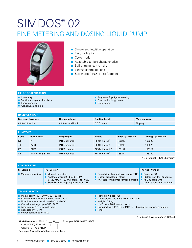### SIMDOS® 02 FINE METERING AND DOSING LIQUID PUMP



- Simple and intuitive operation
- Easy calibration
- Cycle mode
- Adaptable to fluid characteristics
- Self priming, can run dry
- Various control options
- Splashproof IP65, small footprint

#### **fields of application**

- Chemistry
- Synthetic organic chemistry
- Pharmaceutical
- Adhesives and glue
- Polymers & polymer coating
- Food technology research
- Detergents

| <b>HYDRAULIC DATA</b>     |                    |                       |               |
|---------------------------|--------------------|-----------------------|---------------|
| <b>Metering flow rate</b> | Dosing volume      | <b>Suction height</b> | Max. pressure |
| $0.03 - 20$ mL/min        | $0.03$ mL – 999 mL | 6.6 ft. water         | 85 psig       |

| <b>PUMPTYPE</b> |                        |                     |                           |                        |                        |
|-----------------|------------------------|---------------------|---------------------------|------------------------|------------------------|
| Code            | Pump head              | <b>Diaphragm</b>    | <b>Valves</b>             | Filter (1pc. included) | Tubing (2pc. included) |
| <b>KT</b>       | <b>PP</b>              | <b>PTFE</b> covered | FFKM Kalrez <sup>®</sup>  | 165212                 | 166329                 |
| TТ              | <b>PVDF</b>            | <b>PTFE</b> covered | FFKM Kalrez <sup>®</sup>  | 165210                 | 166329                 |
| <b>FT</b>       | <b>PTFE</b>            | <b>PTFE</b> covered | FFKM Kalrez <sup>®*</sup> | 165212                 | 166329                 |
| <b>ST</b>       | <b>STAINLESS STEEL</b> | <b>PTFE covered</b> | FFKM Kalrez <sup>®</sup>  | 165212                 | 166329                 |

\* On request FFKM Chemraz®

| <b>CONTROLTYPE</b> |                                                                                                                                                         |                                                                                                                      |                                                                                                                |
|--------------------|---------------------------------------------------------------------------------------------------------------------------------------------------------|----------------------------------------------------------------------------------------------------------------------|----------------------------------------------------------------------------------------------------------------|
| S - Version        | <b>RC</b> - Version                                                                                                                                     |                                                                                                                      | <b>RC Plus - Version</b>                                                                                       |
| ■ Manual operation | <b>Manual operation</b><br>Analog control: $0 - 5V$ , $0 - 10V$ ,<br>$0 - 20$ mA, $4 - 20$ mA, from 1 to 100%<br>Start/Stop through logic control (TTL) | Reset/Prime through logic control $(TTL)$<br>■ Output signal fault alarm<br>■ RC cable for external control included | ■ Same as RC<br>■ RS 232 port for PC control<br>$\blacksquare$ RS 232 cable with<br>D-Sub 9 connector included |

■ Protection class IP65

■ Weight: 0.9 kg

■ Filter

■ Dimensions: 150 H x 93 W x 144 D mm

■ Supplied with  $1/8$ " OD x 1/16" ID tubing; other options available

 $\blacksquare$  UNF 1/4" – 28 threaded ports

#### **technical data**

- Main supply 100 240 V / 50 60 Hz
- Ambient temperature allowed +5 to +40 °C
- Liquid temperature allowed +5 to +80 °C
- Viscosity settings up to 500 cSt<sup>\*\*</sup>
- Accuracy +/-2% (nominal value) ■ Repeatability +/-1%
- Power consumption 10 W

#### **Model Numbers:** FEM 1.02\_\_\_.18\_\_\_ *Example: FEM 1.02KT.18RCP*

 Code: KT, TT, FT, or ST  $\Box$ Control: S, RC, or RCP

See page 9 for a list of all model numbers.

\*\* Reduced flow rate above 150 cSt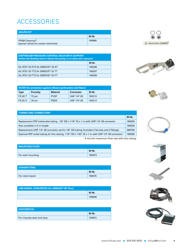### **ACCESSORIES**

| <b>VALVES KIT</b>                                                   |        |
|---------------------------------------------------------------------|--------|
|                                                                     | ID-Nr. |
| FFKM Chemraz $^{\circledR}$<br>special valves for certain chemicals | 164984 |

| DIAPHRAGM PRESSURE CONTROL VALVE WITH SUPPORT<br>(when the feeding tank is above the pump or to dose into vacuum) |        |  |
|-------------------------------------------------------------------------------------------------------------------|--------|--|
|                                                                                                                   | ID-Nr. |  |
| Kit JFDV 30 KTZ for SIMDOS <sup>®</sup> 02 KT                                                                     | 166286 |  |
| Kit JFDV 30 TTZ for SIMDOS <sup>®</sup> 02 TT                                                                     | 166287 |  |
| Kit JFDV 30 FTZ for SIMDOS <sup>®</sup> 02 FT<br>166288                                                           |        |  |

| <b>FILTER</b> (for protection against influent particulates and fibers) |                 |             |                  |        |
|-------------------------------------------------------------------------|-----------------|-------------|------------------|--------|
| <b>Type</b>                                                             | <b>Porosity</b> | Material    | <b>Connector</b> | ID-Nr. |
| <b>FS 60 T</b>                                                          | 70 um           | <b>PVDF</b> | UNF 1/4"-28      | 165210 |
| <b>FS 60 X</b>                                                          | $35 \mu m$      | <b>PEEK</b> | UNF 1/4"-28      | 165212 |

#### **tubing and connectors**

|                                                                                                               | ID-Nr. |
|---------------------------------------------------------------------------------------------------------------|--------|
| Replacement FEP inlet/outlet tubing, $1/8$ " OD x $1/16$ " ID x 1 m with UNF $1/4$ "-28 connector             | 166329 |
| Also available in 2 m length                                                                                  | 166330 |
| Replacement UNF 1/4"-28 connector set for 1/8" OD tubing (includes 2 ferrules and 2 fittings)                 | 069790 |
| Optional FEP outlet tubing for fine dosing, 1/16" OD x 1/32" ID x 1 m with UNF 1/4"-28 connector <sup>†</sup> | 166335 |

† 5 mL/min maximum flow rate with this tubing.

| <b>MOUNTING PLATE</b>    |        |
|--------------------------|--------|
|                          | ID-Nr. |
| <b>For wall mounting</b> | 160473 |

| <b>STANDFITTING</b> |        |  |
|---------------------|--------|--|
|                     | ID-Nr. |  |
| For retort stand    | 160474 |  |

| USB-SERIAL CONVERTER (for SIMDOS <sup>®</sup> RC Plus) |        |  |
|--------------------------------------------------------|--------|--|
|                                                        | ID-Nr. |  |
|                                                        | 166949 |  |

| <b>FOOTSWITCH</b>          |        |
|----------------------------|--------|
|                            | ID-Nr. |
| For impulse start and stop | 155872 |



**Bencie Valves CHEMAL<sup>®</sup>** 









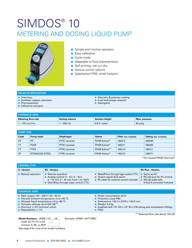### SIMDOS<sup>®</sup> 10 metering and dosing liquid pump



- Simple and intuitive operation
- Easy calibration
- Cycle mode
- Adaptable to fluid characteristics
- Self priming, can run dry
- Various control options
- Splashproof IP65, small footprint

#### **fields of application**

- Chemistry
- Synthetic organic chemistry
- Pharmaceutical
- Adhesives and glue
- Polymers & polymer coating
- Food technology research
- Detergents

| <b>HYDRAULIC DATA</b>     |               |                       |               |
|---------------------------|---------------|-----------------------|---------------|
| <b>Metering flow rate</b> | Dosing volume | <b>Suction height</b> | Max. pressure |
| $1 - 100$ mL/min          | $1 - 999$ mL  | 9.8 ft. water         | 85 psig       |

| <b>PUMPTYPE</b> |                        |                     |                           |                        |                        |  |
|-----------------|------------------------|---------------------|---------------------------|------------------------|------------------------|--|
| Code            | Pump head              | <b>Diaphragm</b>    | <b>Valves</b>             | Filter (1pc. included) | Tubing (2pc. included) |  |
| <b>KT</b>       | <b>PP</b>              | <b>PTFE covered</b> | FFKM Kalrez <sup>®</sup>  | 165213                 | 160269                 |  |
| TT              | <b>PVDF</b>            | <b>PTFE covered</b> | FFKM Kalrez <sup>®</sup>  | 165211                 | 160269                 |  |
| <b>FT</b>       | <b>PTFE</b>            | <b>PTFE covered</b> | FFKM Kalrez <sup>®*</sup> | 165213                 | 160271                 |  |
| <b>ST</b>       | <b>STAINLESS STEEL</b> | <b>PTFE covered</b> | FFKM Kalrez <sup>®</sup>  | 165213                 | 160271                 |  |

\* On request FFKM Chemraz®

| <b>CONTROLTYPE</b>      |                                                                                                                                                         |                                                                                                                                      |                                                                                   |  |  |  |
|-------------------------|---------------------------------------------------------------------------------------------------------------------------------------------------------|--------------------------------------------------------------------------------------------------------------------------------------|-----------------------------------------------------------------------------------|--|--|--|
| <b>S</b> - Version      | <b>RC</b> - Version                                                                                                                                     |                                                                                                                                      | <b>RC Plus - Version</b>                                                          |  |  |  |
| <b>Manual operation</b> | <b>Manual operation</b><br>Analog control: $0 - 5V$ , $0 - 10V$ ,<br>$0 - 20$ mA, $4 - 20$ mA, from 1 to 100%<br>Start/Stop through logic control (TTL) | Reset/Prime through logic control (TTL) $\Box$ Same as RC<br>■ Output signal fault alarm<br>■ RC cable for external control included | ■ RS 232 port for PC control<br>■ RS 232 cable with<br>D-Sub 9 connector included |  |  |  |

#### **technical data**

- Main supply 100 240 V / 50 60 Hz
- Allowed ambient temperature +5 to +40 °C
- Allowed liquid temperature +5 to +80 °C
- Viscosity settings up to 500 cSt<sup>\*\*</sup> ■ Accuracy +/-2% (nominal value)
- Repeatability +/-1%
- Power consumption 24 W
- Protection class IP65 ■ Dimensions: 150 H x 93 W x 144 D mm
- Weight: 0.9 kg
- 
- Supplied with  $1/4$ " OD x  $1/8$ " ID x 2 M tubing and compression fittings ■ Filter

\*\* Reduced flow rate above 150 cSt

#### **Model Numbers:** UFEM 1.10\_\_\_.18\_\_\_ *Example: UFEM 1.10TT.18RC*

Code: KT, TT, FT, or ST

Control: S, RC, or RCP

See page 9 for a list of all model numbers.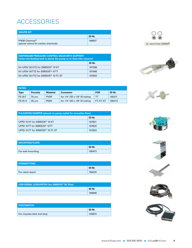### **ACCESSORIES**

| <b>VALVES KIT</b>                                                   |        |
|---------------------------------------------------------------------|--------|
|                                                                     | ID-Nr. |
| FFKM Chemraz $^{\circledR}$<br>special valves for certain chemicals | 168037 |

| DIAPHRAGM PRESSURE CONTROL VALVE WITH SUPPORT<br>(when the feeding tank is above the pump or to dose into vacuum) |        |  |  |  |
|-------------------------------------------------------------------------------------------------------------------|--------|--|--|--|
|                                                                                                                   | ID-Nr. |  |  |  |
| Kit UFDV 30 KTZ for SIMDOS <sup>®</sup> 10 KT                                                                     | 167598 |  |  |  |
| Kit UFDV 30 TTZ for SIMDOS <sup>®</sup> 10 TT                                                                     | 167599 |  |  |  |
| Kit UFDV 30 FTZ for SIMDOS <sup>®</sup> 10 FT, ST                                                                 | 167600 |  |  |  |





| <b>FILTER</b>  |                 |                 |                                           |            |        |  |
|----------------|-----------------|-----------------|-------------------------------------------|------------|--------|--|
| Type           | <b>Porosity</b> | <b>Material</b> | <b>Connector</b>                          | <b>FOR</b> | ID-Nr. |  |
| <b>FS 25T</b>  | 70 um           | <b>PVDF</b>     | for $1/4$ " OD $\times$ $1/8$ " ID tubing |            | 165211 |  |
| <b>FS 25 X</b> | $35 \mu m$      | <b>PEEK</b>     | for $1/4$ " OD x $1/8$ " ID tubing        | FT, KT, ST | 165213 |  |

| <b>PULSATION DAMPER (placed on pump outlet for smoother flow)</b> |        |  |  |
|-------------------------------------------------------------------|--------|--|--|
|                                                                   | ID-Nr. |  |  |
| UFPD 10 KT for SIMDOS <sup>®</sup> 10 KT                          | 167821 |  |  |
| UFPD 10TT for SIMDOS <sup>®</sup> 10TT                            | 167822 |  |  |
| UFPD 10 FT for SIMDOS <sup>®</sup> 10 FT, ST                      | 167823 |  |  |

| <b>MOUNTING PLATE</b> |        |  |  |  |
|-----------------------|--------|--|--|--|
|                       | ID-Nr. |  |  |  |
| For wall mounting     | 160473 |  |  |  |

| <b>STANDFITTING</b> |        |  |  |  |
|---------------------|--------|--|--|--|
|                     | ID-Nr. |  |  |  |
| For retort stand    | 160474 |  |  |  |

| USB-SERIAL CONVERTER (for SIMDOS <sup>®</sup> RC Plus) |        |  |  |
|--------------------------------------------------------|--------|--|--|
|                                                        | ID-Nr. |  |  |
|                                                        | 166949 |  |  |

| <b>FOOTSWITCH</b>          |        |  |  |
|----------------------------|--------|--|--|
|                            | ID-Nr. |  |  |
| For impulse start and stop | 155872 |  |  |









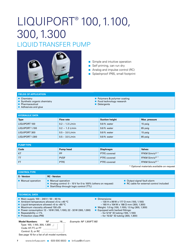## LIQUIPORT<sup>®</sup> 100, 1.100, 300, 1.300 liquid TRANSFER pump



- Simple and intuitive operation
- Self priming, can run dry
- Analog and impulse control (RC)
- Splashproof IP65, small footprint

#### **fields of application**

- Chemistry
- Synthetic organic chemistry
- Pharmaceutical
- Adhesives and glue
- Polymers & polymer coating
- Food technology research
- Detergents

| <b>HYDRAULIC DATA</b> |                   |                       |               |  |  |
|-----------------------|-------------------|-----------------------|---------------|--|--|
| <b>Type</b>           | <b>Flow rate</b>  | <b>Suction height</b> | Max. pressure |  |  |
| LIQUIPORT 100         | $0.2 - 1.3$ L/min | 9.8 ft. water         | 15 psig       |  |  |
| LIQUIPORT 1.100       | $0.2 - 1.3$ L/min | 9.8 ft. water         | 85 psig       |  |  |
| LIQUIPORT 300         | $0.5 - 3.0$ L/min | 9.8 ft. water         | 15 psig       |  |  |
| LIQUIPORT 1.300       | $0.5 - 3.0$ L/min | 9.8 ft. water         | 85 psig       |  |  |

| <b>PUMPTYPE</b> |             |                     |                           |  |  |
|-----------------|-------------|---------------------|---------------------------|--|--|
| Code            | Pump head   | Diaphragm           | <b>Valves</b>             |  |  |
| <b>KT</b>       | PP          | <b>PTFE covered</b> | FFKM Simriz <sup>®*</sup> |  |  |
| TT              | <b>PVDF</b> | <b>PTFE covered</b> | FFKM Simriz <sup>®*</sup> |  |  |
| <b>FT</b>       | <b>PTFE</b> | <b>PTFE covered</b> | FFKM Simriz <sup>®*</sup> |  |  |

\* Optional materials available on request

| <b>CONTROLTYPE</b>      |                                                                                                                               |                                                                       |  |  |  |
|-------------------------|-------------------------------------------------------------------------------------------------------------------------------|-----------------------------------------------------------------------|--|--|--|
| <b>S</b> - Version      | <b>RC</b> - Version                                                                                                           |                                                                       |  |  |  |
| <b>Manual operation</b> | ■ Manual operation<br>Analog control: $0 - 10V$ for 0 to 100% (others on request)<br>■ Start/Stop through logic control (TTL) | Output signal fault alarm<br>■ RC cable for external control included |  |  |  |

■ Dimensions:

 – 130 H x 99 W x 177 D mm (100, 1.100) – 160 H x 104 W x 188 D mm (300, 1.300) ■ Weight: 1.0 kg (100, 1.100); 1.5 kg (300, 1.300)

■ Equipped with barbed fittings: – for 5/16" ID tubing (100, 1.100) – for 15/32" ID tubing (300, 1.300)

#### **technical data**

- Main supply 100 240 V / 50 60 Hz
- Ambient temperature allowed +5 to +40 °C
- Liquid temperature allowed +5 to +80 °C
- Maximum viscosity allowed 150 cSt

Type: 100, 1.100, 300, 1.300

- Power consumption 12 16 W (100, 1.100); 22 32 W (300, 1.300)
- Repeatability +/-1%

#### ■ Protection class IP65

| Model Numbers: |
|----------------|
|----------------|

 Code: KT, TT, or FT Control: S, or RC

**Model Numbers:** NF \_\_\_\_\_\_\_\_.18\_\_\_ *Example: NF 1.300FT.18S*

See page 10 for a list of all model numbers.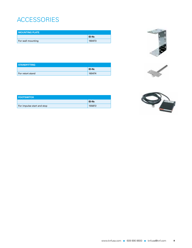# ACCE

| <b>MOUNTING PLATE</b> |        |
|-----------------------|--------|
|                       | ID-Nr. |
| For wall mounting     | 160473 |



| <b>STANDFITTING</b> |        |
|---------------------|--------|
|                     | ID-Nr. |
| For retort stand    | 160474 |



| <b>FOOTSWITCH</b>          |        |
|----------------------------|--------|
|                            | ID-Nr. |
| For impulse start and stop | 155872 |

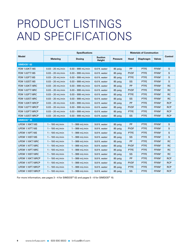# PRODUCT LISTINGS and Specifications

|                         | <b>Specifications</b> |                     |                          |                 | <b>Materials of Construction</b> |                  |                   |            |  |
|-------------------------|-----------------------|---------------------|--------------------------|-----------------|----------------------------------|------------------|-------------------|------------|--|
| <b>Model</b>            | <b>Metering</b>       | <b>Dosing</b>       | <b>Suction</b><br>Height | <b>Pressure</b> | Head                             | <b>Diaphragm</b> | <b>Valves</b>     | Control    |  |
| SIMDOS <sup>®</sup> 02  |                       |                     |                          |                 |                                  |                  |                   |            |  |
| <b>FEM 1.02KT.18S</b>   | $0.03 - 20$ mL/min    | $0.03 - 999$ mL/min | 6.6 ft. water            | 85 psig         | PP                               | <b>PTFE</b>      | FFKM <sup>1</sup> | S          |  |
| FEM 1.02TT.18S          | $0.03 - 20$ mL/min    | $0.03 - 999$ mL/min | 6.6 ft. water            | 85 psig         | <b>PVDF</b>                      | <b>PTFE</b>      | FFKM <sup>1</sup> | S          |  |
| <b>FEM 1.02FT.18S</b>   | $0.03 - 20$ mL/min    | $0.03 - 999$ mL/min | 6.6 ft. water            | 85 psig         | <b>PTFE</b>                      | <b>PTFE</b>      | FFKM <sup>1</sup> | S          |  |
| <b>FEM 1.02ST.18S</b>   | $0.03 - 20$ mL/min    | $0.03 - 999$ mL/min | 6.6 ft. water            | 85 psig         | SS                               | <b>PTFE</b>      | FFKM <sup>1</sup> | S          |  |
| <b>FEM 1.02KT.18RC</b>  | $0.03 - 20$ mL/min    | $0.03 - 999$ mL/min | 6.6 ft. water            | 85 psig         | PP                               | <b>PTFE</b>      | FFKM <sup>1</sup> | <b>RC</b>  |  |
| FEM 1.02TT.18RC         | $0.03 - 20$ mL/min    | $0.03 - 999$ mL/min | 6.6 ft. water            | 85 psig         | <b>PVDF</b>                      | <b>PTFE</b>      | FFKM <sup>1</sup> | <b>RC</b>  |  |
| <b>FEM 1.02FT.18RC</b>  | $0.03 - 20$ mL/min    | $0.03 - 999$ mL/min | 6.6 ft. water            | 85 psig         | <b>PTFE</b>                      | <b>PTFE</b>      | FFKM <sup>1</sup> | <b>RC</b>  |  |
| <b>FEM 1.02ST.18RC</b>  | $0.03 - 20$ mL/min    | $0.03 - 999$ mL/min | 6.6 ft. water            | 85 psig         | SS                               | <b>PTFE</b>      | FFKM <sup>1</sup> | <b>RC</b>  |  |
| <b>FEM 1.02KT.18RCP</b> | $0.03 - 20$ mL/min    | $0.03 - 999$ mL/min | 6.6 ft. water            | 85 psig         | <b>PP</b>                        | <b>PTFE</b>      | FFKM <sup>1</sup> | <b>RCP</b> |  |
| <b>FEM 1.02TT.18RCP</b> | $0.03 - 20$ mL/min    | $0.03 - 999$ mL/min | 6.6 ft. water            | 85 psig         | <b>PVDF</b>                      | <b>PTFE</b>      | FFKM <sup>1</sup> | <b>RCP</b> |  |
| <b>FEM 1.02FT.18RCP</b> | $0.03 - 20$ mL/min    | $0.03 - 999$ mL/min | 6.6 ft. water            | 85 psig         | <b>PTFE</b>                      | <b>PTFE</b>      | FFKM <sup>1</sup> | <b>RCP</b> |  |
| <b>FEM 1.02ST.18RCP</b> | $0.03 - 20$ mL/min    | $0.03 - 999$ mL/min | 6.6 ft. water            | 85 psig         | SS                               | <b>PTFE</b>      | FFKM <sup>1</sup> | <b>RCP</b> |  |
| SIMDOS <sup>®</sup> 10  |                       |                     |                          |                 |                                  |                  |                   |            |  |
| <b>UFEM 1.10KT.18S</b>  | $1 - 100$ mL/min      | $1 - 999$ mL/min    | 9.8 ft. water            | 85 psig         | PP                               | <b>PTFE</b>      | FFKM <sup>1</sup> | S          |  |
| <b>UFEM 1.10TT.18S</b>  | $1 - 100$ mL/min      | $1 - 999$ mL/min    | 9.8 ft. water            | 85 psig         | <b>PVDF</b>                      | <b>PTFE</b>      | FFKM <sup>1</sup> | S          |  |
| <b>UFEM 1.10FT.18S</b>  | $1 - 100$ mL/min      | $1 - 999$ mL/min    | 9.8 ft. water            | 85 psig         | <b>PTFE</b>                      | <b>PTFE</b>      | FFKM <sup>1</sup> | S          |  |
| <b>UFEM 1.10ST.18S</b>  | $1 - 100$ mL/min      | $1 - 999$ mL/min    | 9.8 ft. water            | 85 psig         | SS                               | <b>PTFE</b>      | FFKM <sup>1</sup> | S          |  |
| <b>UFEM 1.10KT.18RC</b> | $1 - 100$ mL/min      | $1 - 999$ mL/min    | 9.8 ft. water            | 85 psig         | PP                               | <b>PTFE</b>      | FFKM <sup>1</sup> | <b>RC</b>  |  |
| <b>UFEM 1.10TT.18RC</b> | $1 - 100$ mL/min      | $1 - 999$ mL/min    | 9.8 ft. water            | 85 psig         | <b>PVDF</b>                      | <b>PTFE</b>      | FFKM <sup>1</sup> | <b>RC</b>  |  |
| <b>UFEM 1.10FT.18RC</b> | $1 - 100$ mL/min      | $1 - 999$ mL/min    | 9.8 ft. water            | 85 psig         | <b>PTFE</b>                      | <b>PTFE</b>      | FFKM <sup>1</sup> | <b>RC</b>  |  |
| <b>UFEM 1.10ST.18RC</b> | $1 - 100$ mL/min      | $1 - 999$ mL/min    | 9.8 ft. water            | 85 psig         | SS                               | <b>PTFE</b>      | FFKM <sup>1</sup> | <b>RC</b>  |  |
| UFEM 1.10KT.18RCP       | $1 - 100$ mL/min      | $1 - 999$ mL/min    | 9.8 ft. water            | 85 psig         | PP                               | <b>PTFE</b>      | FFKM <sup>1</sup> | <b>RCP</b> |  |
| UFEM 1.10TT.18RCP       | $1 - 100$ mL/min      | $1 - 999$ mL/min    | 9.8 ft. water            | 85 psig         | <b>PVDF</b>                      | <b>PTFE</b>      | FFKM <sup>1</sup> | <b>RCP</b> |  |
| UFEM 1.10FT.18RCP       | $1 - 100$ mL/min      | $1 - 999$ mL/min    | 9.8 ft. water            | 85 psig         | <b>PTFE</b>                      | <b>PTFE</b>      | FFKM <sup>1</sup> | <b>RCP</b> |  |
| UFEM 1.10ST.18RCP       | $1 - 100$ mL/min      | $1 - 999$ mL/min    | 9.8 ft. water            | 85 psig         | SS                               | <b>PTFE</b>      | FFKM <sup>1</sup> | <b>RCP</b> |  |

For more information, see pages 3 – 4 for SIMDOS® 02 and pages 5 – 6 for SIMDOS® 10.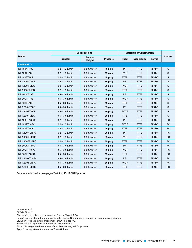|                              | <b>Specifications</b> | <b>Materials of Construction</b> |                 |             |                  |                   |           |  |
|------------------------------|-----------------------|----------------------------------|-----------------|-------------|------------------|-------------------|-----------|--|
| <b>Model</b>                 | <b>Transfer</b>       | <b>Suction</b><br>Height         | <b>Pressure</b> | Head        | <b>Diaphragm</b> | <b>Valves</b>     | Control   |  |
| <b>LIQUIPORT<sup>®</sup></b> |                       |                                  |                 |             |                  |                   |           |  |
| <b>NF 100KT.18S</b>          | $0.2 - 1.3$ L/min     | 9.8 ft. water                    | 15 psig         | PP          | <b>PTFE</b>      | FFKM <sup>2</sup> | S         |  |
| <b>NF 100TT.18S</b>          | $0.2 - 1.3$ L/min     | 9.8 ft. water                    | 15 psig         | <b>PVDF</b> | <b>PTFE</b>      | FFKM <sup>2</sup> | S         |  |
| <b>NF 100FT.18S</b>          | $0.2 - 1.3$ L/min     | 9.8 ft. water                    | 15 psig         | <b>PTFE</b> | <b>PTFE</b>      | FFKM <sup>2</sup> | S         |  |
| <b>NF 1.100KT.18S</b>        | $0.2 - 1.3$ L/min     | 9.8 ft. water                    | 85 psig         | PP          | <b>PTFE</b>      | FFKM <sup>2</sup> | S         |  |
| <b>NF 1.100TT.18S</b>        | $0.2 - 1.3$ L/min     | 9.8 ft. water                    | 85 psig         | <b>PVDF</b> | <b>PTFE</b>      | FFKM <sup>2</sup> | S         |  |
| <b>NF 1.100FT.18S</b>        | $0.2 - 1.3$ L/min     | 9.8 ft. water                    | 85 psig         | <b>PTFE</b> | <b>PTFE</b>      | FFKM <sup>2</sup> | S         |  |
| <b>NF 300KT.18S</b>          | $0.5 - 3.0$ L/min     | 9.8 ft. water                    | 15 psig         | PP          | <b>PTFE</b>      | FFKM <sup>2</sup> | S         |  |
| <b>NF 300TT.18S</b>          | $0.5 - 3.0$ L/min     | 9.8 ft. water                    | 15 psig         | <b>PVDF</b> | <b>PTFE</b>      | FFKM <sup>2</sup> | S         |  |
| <b>NF 300FT.18S</b>          | $0.5 - 3.0$ L/min     | 9.8 ft. water                    | 15 psig         | <b>PTFE</b> | <b>PTFE</b>      | FFKM <sup>2</sup> | S         |  |
| <b>NF 1.300KT.18S</b>        | $0.5 - 3.0$ L/min     | 9.8 ft. water                    | 85 psig         | PP          | <b>PTFE</b>      | FFKM <sup>2</sup> | S         |  |
| NF 1.300TT.18S               | $0.5 - 3.0$ L/min     | 9.8 ft. water                    | 85 psig         | <b>PVDF</b> | <b>PTFE</b>      | FFKM <sup>2</sup> | S         |  |
| NF 1.300FT.18S               | $0.5 - 3.0$ L/min     | 9.8 ft. water                    | 85 psig         | <b>PTFE</b> | <b>PTFE</b>      | FFKM <sup>2</sup> | S         |  |
| <b>NF 100KT.18RC</b>         | $0.2 - 1.3$ L/min     | 9.8 ft. water                    | 15 psig         | PP          | <b>PTFE</b>      | FFKM <sup>2</sup> | <b>RC</b> |  |
| <b>NF 100TT.18RC</b>         | $0.2 - 1.3$ L/min     | 9.8 ft. water                    | 15 psig         | <b>PVDF</b> | <b>PTFE</b>      | FFKM <sup>2</sup> | <b>RC</b> |  |
| <b>NF 100FT.18RC</b>         | $0.2 - 1.3$ L/min     | 9.8 ft. water                    | 15 psig         | <b>PTFE</b> | <b>PTFE</b>      | FFKM <sup>2</sup> | <b>RC</b> |  |
| <b>NF 1.100KT.18RC</b>       | $0.2 - 1.3$ L/min     | 9.8 ft. water                    | 85 psig         | PP          | <b>PTFE</b>      | FFKM <sup>2</sup> | <b>RC</b> |  |
| <b>NF 1.100TT.18RC</b>       | $0.2 - 1.3$ L/min     | 9.8 ft. water                    | 85 psig         | <b>PVDF</b> | <b>PTFE</b>      | FFKM <sup>2</sup> | <b>RC</b> |  |
| NF 1.100FT.18RC              | $0.2 - 1.3$ L/min     | 9.8 ft. water                    | 85 psig         | <b>PTFE</b> | <b>PTFE</b>      | FFKM <sup>2</sup> | <b>RC</b> |  |
| <b>NF 300KT.18RC</b>         | $0.5 - 3.0$ L/min     | 9.8 ft. water                    | 15 psig         | PP          | <b>PTFE</b>      | FFKM <sup>2</sup> | <b>RC</b> |  |
| <b>NF 300TT.18RC</b>         | $0.5 - 3.0$ L/min     | 9.8 ft. water                    | 15 psig         | <b>PVDF</b> | <b>PTFE</b>      | FFKM <sup>2</sup> | <b>RC</b> |  |
| <b>NF 300FT.18RC</b>         | $0.5 - 3.0$ L/min     | 9.8 ft. water                    | 15 psig         | <b>PTFE</b> | <b>PTFE</b>      | FFKM <sup>2</sup> | <b>RC</b> |  |
| NF 1.300KT.18RC              | $0.5 - 3.0$ L/min     | 9.8 ft. water                    | 85 psig         | PP          | <b>PTFE</b>      | FFKM <sup>2</sup> | <b>RC</b> |  |
| NF 1.300TT.18RC              | $0.5 - 3.0$ L/min     | 9.8 ft. water                    | 85 psig         | <b>PVDF</b> | <b>PTFE</b>      | FFKM <sup>2</sup> | <b>RC</b> |  |
| NF 1.300FT.18RC              | $0.5 - 3.0$ L/min     | 9.8 ft. water                    | 85 psig         | <b>PTFE</b> | <b>PTFE</b>      | FFKM <sup>2</sup> | <b>RC</b> |  |

For more information, see pages 7 – 8 for LIQUIPORT® pumps.

1 FFKM Kalrez®

2 FFKM Simriz®

Chemraz® is a registered trademark of Greene, Tweed & Co.

Kalrez® is a registered trademark of E. I. du Pont de Nemours and company or one of its subsidiaries.

LIQUIPORT® is a registered trademark of KNF Flodos AG.

SIMDOS<sup>®</sup> is a registered trademark of KNF Flodos AG.

Simriz<sup>®</sup> is a registered trademark of Carl Freudenberg KG Corporation.

Tygon® is a registered trademark of Saint-Gobain.